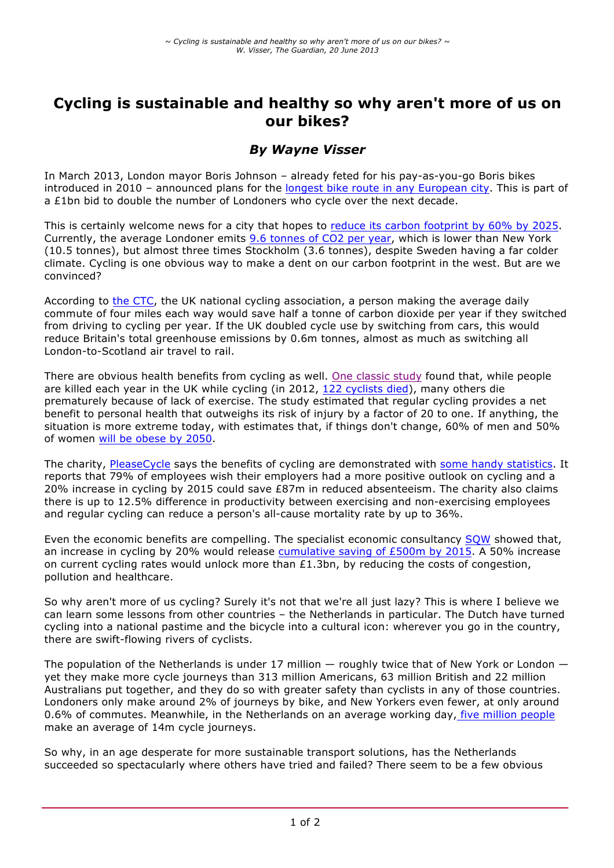# **Cycling is sustainable and healthy so why aren't more of us on our bikes?**

## *By Wayne Visser*

In March 2013, London mayor Boris Johnson – already feted for his pay-as-you-go Boris bikes introduced in 2010 – announced plans for the longest bike route in any European city. This is part of a £1bn bid to double the number of Londoners who cycle over the next decade.

This is certainly welcome news for a city that hopes to reduce its carbon footprint by 60% by 2025. Currently, the average Londoner emits 9.6 tonnes of CO2 per year, which is lower than New York (10.5 tonnes), but almost three times Stockholm (3.6 tonnes), despite Sweden having a far colder climate. Cycling is one obvious way to make a dent on our carbon footprint in the west. But are we convinced?

According to the CTC, the UK national cycling association, a person making the average daily commute of four miles each way would save half a tonne of carbon dioxide per year if they switched from driving to cycling per year. If the UK doubled cycle use by switching from cars, this would reduce Britain's total greenhouse emissions by 0.6m tonnes, almost as much as switching all London-to-Scotland air travel to rail.

There are obvious health benefits from cycling as well. One classic study found that, while people are killed each year in the UK while cycling (in 2012, 122 cyclists died), many others die prematurely because of lack of exercise. The study estimated that regular cycling provides a net benefit to personal health that outweighs its risk of injury by a factor of 20 to one. If anything, the situation is more extreme today, with estimates that, if things don't change, 60% of men and 50% of women will be obese by 2050.

The charity, PleaseCycle says the benefits of cycling are demonstrated with some handy statistics. It reports that 79% of employees wish their employers had a more positive outlook on cycling and a 20% increase in cycling by 2015 could save £87m in reduced absenteeism. The charity also claims there is up to 12.5% difference in productivity between exercising and non-exercising employees and regular cycling can reduce a person's all-cause mortality rate by up to 36%.

Even the economic benefits are compelling. The specialist economic consultancy SQW showed that, an increase in cycling by 20% would release cumulative saving of £500m by 2015. A 50% increase on current cycling rates would unlock more than  $£1.3$ bn, by reducing the costs of congestion, pollution and healthcare.

So why aren't more of us cycling? Surely it's not that we're all just lazy? This is where I believe we can learn some lessons from other countries – the Netherlands in particular. The Dutch have turned cycling into a national pastime and the bicycle into a cultural icon: wherever you go in the country, there are swift-flowing rivers of cyclists.

The population of the Netherlands is under 17 million — roughly twice that of New York or London yet they make more cycle journeys than 313 million Americans, 63 million British and 22 million Australians put together, and they do so with greater safety than cyclists in any of those countries. Londoners only make around 2% of journeys by bike, and New Yorkers even fewer, at only around 0.6% of commutes. Meanwhile, in the Netherlands on an average working day, five million people make an average of 14m cycle journeys.

So why, in an age desperate for more sustainable transport solutions, has the Netherlands succeeded so spectacularly where others have tried and failed? There seem to be a few obvious